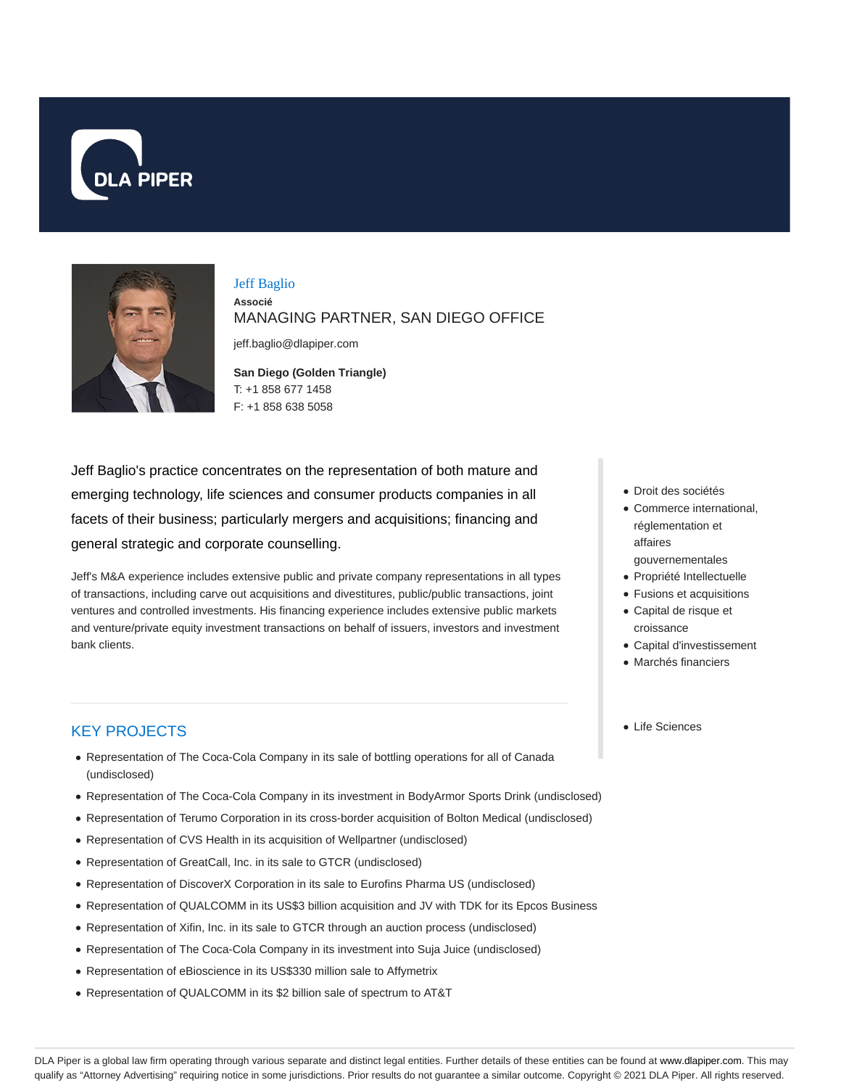



## Jeff Baglio **Associé** MANAGING PARTNER, SAN DIEGO OFFICE

jeff.baglio@dlapiper.com

**San Diego (Golden Triangle)** T: +1 858 677 1458 F: +1 858 638 5058

Jeff Baglio's practice concentrates on the representation of both mature and emerging technology, life sciences and consumer products companies in all facets of their business; particularly mergers and acquisitions; financing and general strategic and corporate counselling.

Jeff's M&A experience includes extensive public and private company representations in all types of transactions, including carve out acquisitions and divestitures, public/public transactions, joint ventures and controlled investments. His financing experience includes extensive public markets and venture/private equity investment transactions on behalf of issuers, investors and investment bank clients.

# KEY PROJECTS

- Representation of The Coca-Cola Company in its sale of bottling operations for all of Canada (undisclosed)
- Representation of The Coca-Cola Company in its investment in BodyArmor Sports Drink (undisclosed)
- Representation of Terumo Corporation in its cross-border acquisition of Bolton Medical (undisclosed)
- Representation of CVS Health in its acquisition of Wellpartner (undisclosed)
- Representation of GreatCall, Inc. in its sale to GTCR (undisclosed)
- Representation of DiscoverX Corporation in its sale to Eurofins Pharma US (undisclosed)
- Representation of QUALCOMM in its US\$3 billion acquisition and JV with TDK for its Epcos Business
- Representation of Xifin, Inc. in its sale to GTCR through an auction process (undisclosed)
- Representation of The Coca-Cola Company in its investment into Suja Juice (undisclosed)
- Representation of eBioscience in its US\$330 million sale to Affymetrix
- Representation of QUALCOMM in its \$2 billion sale of spectrum to AT&T
- Droit des sociétés
- Commerce international, réglementation et affaires gouvernementales
- Propriété Intellectuelle
- Fusions et acquisitions
- Capital de risque et croissance
- Capital d'investissement
- Marchés financiers
- Life Sciences

DLA Piper is a global law firm operating through various separate and distinct legal entities. Further details of these entities can be found at www.dlapiper.com. This may qualify as "Attorney Advertising" requiring notice in some jurisdictions. Prior results do not guarantee a similar outcome. Copyright © 2021 DLA Piper. All rights reserved.